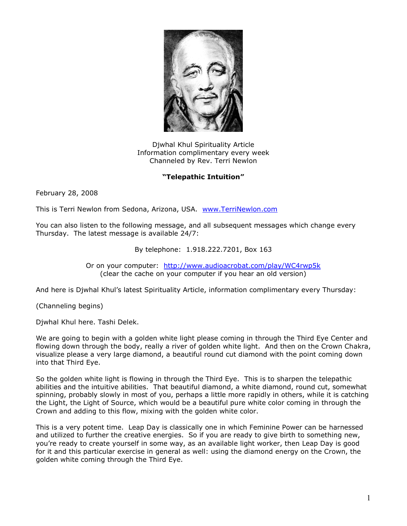

Djwhal Khul Spirituality Article Information complimentary every week Channeled by Rev. Terri Newlon

## **"Telepathic Intuition"**

February 28, 2008

This is Terri Newlon from Sedona, Arizona, USA. [www.TerriNewlon.com](http://www.terrinewlon.com/)

You can also listen to the following message, and all subsequent messages which change every Thursday. The latest message is available 24/7:

## By telephone: 1.918.222.7201, Box 163

Or on your computer: <http://www.audioacrobat.com/play/WC4rwp5k> (clear the cache on your computer if you hear an old version)

And here is Djwhal Khul's latest Spirituality Article, information complimentary every Thursday:

(Channeling begins)

Djwhal Khul here. Tashi Delek.

We are going to begin with a golden white light please coming in through the Third Eye Center and flowing down through the body, really a river of golden white light. And then on the Crown Chakra, visualize please a very large diamond, a beautiful round cut diamond with the point coming down into that Third Eye.

So the golden white light is flowing in through the Third Eye. This is to sharpen the telepathic abilities and the intuitive abilities. That beautiful diamond, a white diamond, round cut, somewhat spinning, probably slowly in most of you, perhaps a little more rapidly in others, while it is catching the Light, the Light of Source, which would be a beautiful pure white color coming in through the Crown and adding to this flow, mixing with the golden white color.

This is a very potent time. Leap Day is classically one in which Feminine Power can be harnessed and utilized to further the creative energies. So if you are ready to give birth to something new, you're ready to create yourself in some way, as an available light worker, then Leap Day is good for it and this particular exercise in general as well: using the diamond energy on the Crown, the golden white coming through the Third Eye.